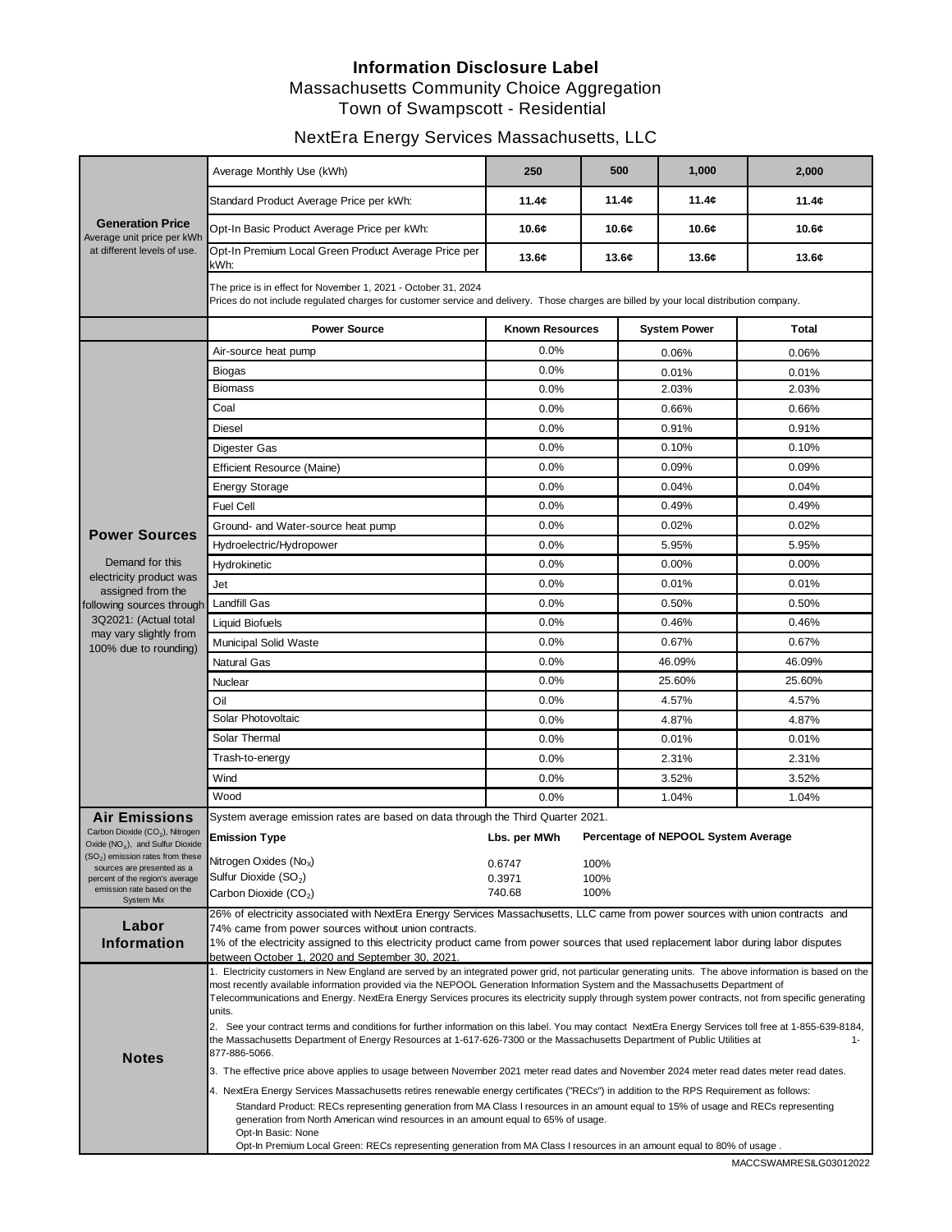#### **Information Disclosure Label** Massachusetts Community Choice Aggregation Town of Swampscott - Residential

## NextEra Energy Services Massachusetts, LLC

| <b>Generation Price</b><br>Average unit price per kWh<br>at different levels of use.                                                          | Average Monthly Use (kWh)                                                                                                                                                                                                                                                            | 250                    | 500   | 1,000                               | 2,000        |  |  |  |  |
|-----------------------------------------------------------------------------------------------------------------------------------------------|--------------------------------------------------------------------------------------------------------------------------------------------------------------------------------------------------------------------------------------------------------------------------------------|------------------------|-------|-------------------------------------|--------------|--|--|--|--|
|                                                                                                                                               | Standard Product Average Price per kWh:                                                                                                                                                                                                                                              | 11.4¢                  | 11.4c | 11.4c                               | 11.4¢        |  |  |  |  |
|                                                                                                                                               | Opt-In Basic Product Average Price per kWh:                                                                                                                                                                                                                                          | 10.6c                  | 10.6c | 10.6c                               | 10.6c        |  |  |  |  |
|                                                                                                                                               | Opt-In Premium Local Green Product Average Price per<br>kWh:                                                                                                                                                                                                                         | 13.6c                  | 13.6c | 13.6c                               | 13.6c        |  |  |  |  |
|                                                                                                                                               | The price is in effect for November 1, 2021 - October 31, 2024<br>Prices do not include regulated charges for customer service and delivery. Those charges are billed by your local distribution company.                                                                            |                        |       |                                     |              |  |  |  |  |
|                                                                                                                                               | <b>Power Source</b>                                                                                                                                                                                                                                                                  | <b>Known Resources</b> |       | <b>System Power</b>                 | <b>Total</b> |  |  |  |  |
|                                                                                                                                               | Air-source heat pump                                                                                                                                                                                                                                                                 | 0.0%                   |       | 0.06%                               | 0.06%        |  |  |  |  |
|                                                                                                                                               | Biogas                                                                                                                                                                                                                                                                               | 0.0%                   |       | 0.01%                               | 0.01%        |  |  |  |  |
|                                                                                                                                               | <b>Biomass</b>                                                                                                                                                                                                                                                                       | 0.0%                   |       | 2.03%                               | 2.03%        |  |  |  |  |
|                                                                                                                                               | Coal                                                                                                                                                                                                                                                                                 | 0.0%                   |       | 0.66%                               | 0.66%        |  |  |  |  |
|                                                                                                                                               | <b>Diesel</b>                                                                                                                                                                                                                                                                        | 0.0%                   |       | 0.91%                               | 0.91%        |  |  |  |  |
|                                                                                                                                               | Digester Gas                                                                                                                                                                                                                                                                         | 0.0%                   |       | 0.10%                               | 0.10%        |  |  |  |  |
|                                                                                                                                               | <b>Efficient Resource (Maine)</b>                                                                                                                                                                                                                                                    | 0.0%                   |       | 0.09%                               | 0.09%        |  |  |  |  |
|                                                                                                                                               | <b>Energy Storage</b>                                                                                                                                                                                                                                                                | 0.0%                   |       | 0.04%                               | 0.04%        |  |  |  |  |
|                                                                                                                                               | <b>Fuel Cell</b>                                                                                                                                                                                                                                                                     | 0.0%                   |       | 0.49%                               | 0.49%        |  |  |  |  |
| <b>Power Sources</b><br>Demand for this<br>electricity product was<br>assigned from the<br>following sources through<br>3Q2021: (Actual total | Ground- and Water-source heat pump                                                                                                                                                                                                                                                   | 0.0%                   |       | 0.02%                               | 0.02%        |  |  |  |  |
|                                                                                                                                               | Hydroelectric/Hydropower                                                                                                                                                                                                                                                             | 0.0%                   |       | 5.95%                               | 5.95%        |  |  |  |  |
|                                                                                                                                               | Hydrokinetic                                                                                                                                                                                                                                                                         | 0.0%                   |       | 0.00%                               | 0.00%        |  |  |  |  |
|                                                                                                                                               | Jet                                                                                                                                                                                                                                                                                  | 0.0%                   |       | 0.01%                               | 0.01%        |  |  |  |  |
|                                                                                                                                               | <b>Landfill Gas</b>                                                                                                                                                                                                                                                                  | 0.0%                   |       | 0.50%                               | 0.50%        |  |  |  |  |
|                                                                                                                                               |                                                                                                                                                                                                                                                                                      | 0.0%                   |       | 0.46%                               | 0.46%        |  |  |  |  |
| may vary slightly from                                                                                                                        | Liquid Biofuels                                                                                                                                                                                                                                                                      |                        |       |                                     |              |  |  |  |  |
| 100% due to rounding)                                                                                                                         | <b>Municipal Solid Waste</b>                                                                                                                                                                                                                                                         | 0.0%                   |       | 0.67%                               | 0.67%        |  |  |  |  |
|                                                                                                                                               | <b>Natural Gas</b>                                                                                                                                                                                                                                                                   | 0.0%                   |       | 46.09%                              | 46.09%       |  |  |  |  |
|                                                                                                                                               | Nuclear                                                                                                                                                                                                                                                                              | 0.0%                   |       | 25.60%                              | 25.60%       |  |  |  |  |
|                                                                                                                                               | Oil                                                                                                                                                                                                                                                                                  | 0.0%                   |       | 4.57%                               | 4.57%        |  |  |  |  |
|                                                                                                                                               | Solar Photovoltaic                                                                                                                                                                                                                                                                   | 0.0%                   |       | 4.87%                               | 4.87%        |  |  |  |  |
|                                                                                                                                               | Solar Thermal                                                                                                                                                                                                                                                                        | 0.0%                   |       | 0.01%                               | 0.01%        |  |  |  |  |
|                                                                                                                                               | Trash-to-energy                                                                                                                                                                                                                                                                      | 0.0%                   |       | 2.31%                               | 2.31%        |  |  |  |  |
|                                                                                                                                               | Wind                                                                                                                                                                                                                                                                                 | 0.0%                   |       | 3.52%                               | 3.52%        |  |  |  |  |
|                                                                                                                                               | Wood                                                                                                                                                                                                                                                                                 | 0.0%                   |       | 1.04%                               | 1.04%        |  |  |  |  |
| <b>Air Emissions</b>                                                                                                                          | System average emission rates are based on data through the Third Quarter 2021.                                                                                                                                                                                                      |                        |       |                                     |              |  |  |  |  |
| Carbon Dioxide (CO <sub>2</sub> ), Nitrogen<br>Oxide $(NOx)$ , and Sulfur Dioxide                                                             | <b>Emission Type</b>                                                                                                                                                                                                                                                                 | Lbs. per MWh           |       | Percentage of NEPOOL System Average |              |  |  |  |  |
| $(SO2)$ emission rates from these<br>sources are presented as a                                                                               | Nitrogen Oxides (No <sub>x</sub> )                                                                                                                                                                                                                                                   | 0.6747                 | 100%  |                                     |              |  |  |  |  |
| percent of the region's average                                                                                                               | Sulfur Dioxide $(SO2)$                                                                                                                                                                                                                                                               | 0.3971<br>100%         |       |                                     |              |  |  |  |  |
| emission rate based on the<br><b>System Mix</b>                                                                                               | 740.68<br>100%<br>Carbon Dioxide (CO <sub>2</sub> )                                                                                                                                                                                                                                  |                        |       |                                     |              |  |  |  |  |
| Labor                                                                                                                                         | 26% of electricity associated with NextEra Energy Services Massachusetts, LLC came from power sources with union contracts and                                                                                                                                                       |                        |       |                                     |              |  |  |  |  |
| <b>Information</b>                                                                                                                            | 74% came from power sources without union contracts.                                                                                                                                                                                                                                 |                        |       |                                     |              |  |  |  |  |
|                                                                                                                                               | 1% of the electricity assigned to this electricity product came from power sources that used replacement labor during labor disputes<br>between October 1, 2020 and September 30, 2021.                                                                                              |                        |       |                                     |              |  |  |  |  |
| <b>Notes</b>                                                                                                                                  | 1. Electricity customers in New England are served by an integrated power grid, not particular generating units. The above information is based on the                                                                                                                               |                        |       |                                     |              |  |  |  |  |
|                                                                                                                                               | most recently available information provided via the NEPOOL Generation Information System and the Massachusetts Department of<br>Telecommunications and Energy. NextEra Energy Services procures its electricity supply through system power contracts, not from specific generating |                        |       |                                     |              |  |  |  |  |
|                                                                                                                                               | units.                                                                                                                                                                                                                                                                               |                        |       |                                     |              |  |  |  |  |
|                                                                                                                                               | 2. See your contract terms and conditions for further information on this label. You may contact NextEra Energy Services toll free at 1-855-639-8184,                                                                                                                                |                        |       |                                     |              |  |  |  |  |
|                                                                                                                                               | the Massachusetts Department of Energy Resources at 1-617-626-7300 or the Massachusetts Department of Public Utilities at<br>1-<br>877-886-5066.                                                                                                                                     |                        |       |                                     |              |  |  |  |  |
|                                                                                                                                               | 3. The effective price above applies to usage between November 2021 meter read dates and November 2024 meter read dates meter read dates.                                                                                                                                            |                        |       |                                     |              |  |  |  |  |
|                                                                                                                                               | 4. NextEra Energy Services Massachusetts retires renewable energy certificates ("RECs") in addition to the RPS Requirement as follows:                                                                                                                                               |                        |       |                                     |              |  |  |  |  |
|                                                                                                                                               | Standard Product: RECs representing generation from MA Class I resources in an amount equal to 15% of usage and RECs representing                                                                                                                                                    |                        |       |                                     |              |  |  |  |  |
|                                                                                                                                               | generation from North American wind resources in an amount equal to 65% of usage.                                                                                                                                                                                                    |                        |       |                                     |              |  |  |  |  |
|                                                                                                                                               | Opt-In Basic: None<br>Opt-In Premium Local Green: RECs representing generation from MA Class I resources in an amount equal to 80% of usage.                                                                                                                                         |                        |       |                                     |              |  |  |  |  |